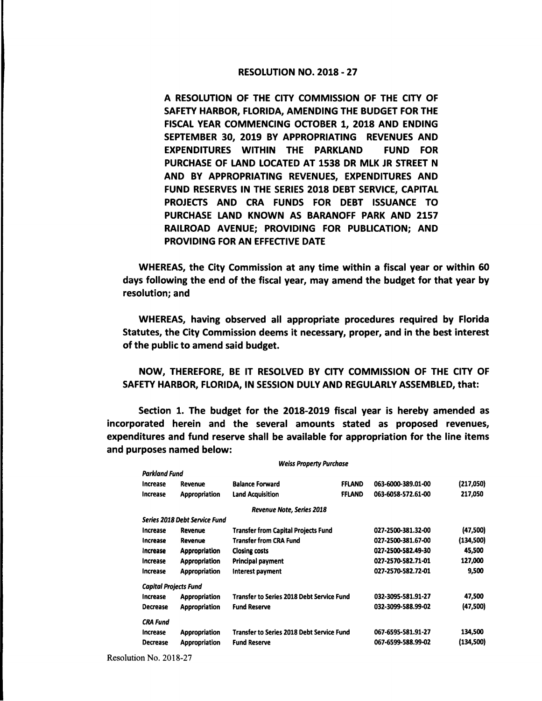## RESOLUTION NO. 2018 - 27

A RESOLUTION OF THE CITY COMMISSION OF THE CITY OF SAFETY HARBOR, FLORIDA, AMENDING THE BUDGET FOR THE FISCAL YEAR COMMENCING OCTOBER 1, 2018 AND ENDING SEPTEMBER 30, 2019 BY APPROPRIATING REVENUES AND EXPENDITURES WITHIN THE PARKLAND FUND FOR PURCHASE OF LAND LOCATED AT 1538 DR MLK JR STREET N **AND BY** APPROPRIATING REVENUES, EXPENDITURES AND FUND RESERVES IN THE SERIES 2018 DEBT SERVICE, CAPITAL PROJECTS AND CRA FUNDS FOR DEBT ISSUANCE TO PURCHASE LAND KNOWN AS BARANOFF PARK AND 2157 **RAILROAD** AVENUE; PROVIDING FOR PUBLICATION; AND PROVIDING FOR AN EFFECTIVE DATE

WHEREAS, the City Commission at any time within a fiscal year or within 60 days following the end of the fiscal year, may amend the budget for that year by resolution; and

WHEREAS, having observed all appropriate procedures required by Florida Statutes, the City Commission deems it necessary, proper, and in the best interest of the public to amend said budget.

NOW, THEREFORE, BE IT RESOLVED BY CITY COMMISSION OF THE CITY OF SAFETY HARBOR, FLORIDA, IN SESSION DULY AND REGULARLY ASSEMBLED, that:

Section 1. The budget for the 2018-2019 fiscal year is hereby amended as incorporated herein and the several amounts stated as proposed revenues, expenditures and fund reserve shall be available for appropriation for the line items and purposes named below:

| Parkland Fund                |                                      |                                                  |               |                    |           |
|------------------------------|--------------------------------------|--------------------------------------------------|---------------|--------------------|-----------|
| Increase                     | Revenue                              | <b>Balance Forward</b>                           | <b>FFLAND</b> | 063-6000-389.01-00 | (217,050) |
| Increase                     | <b>Appropriation</b>                 | <b>Land Acquisition</b>                          | <b>FFLAND</b> | 063-6058-572.61-00 | 217,050   |
|                              |                                      | <b>Revenue Note, Series 2018</b>                 |               |                    |           |
|                              | <b>Series 2018 Debt Service Fund</b> |                                                  |               |                    |           |
| <b>Increase</b>              | Revenue                              | <b>Transfer from Capital Projects Fund</b>       |               | 027-2500-381.32-00 | (47,500)  |
| Increase                     | Revenue                              | <b>Transfer from CRA Fund</b>                    |               | 027-2500-381.67-00 | (134,500) |
| Increase                     | Appropriation                        | <b>Closing costs</b>                             |               | 027-2500-582.49-30 | 45,500    |
| Increase                     | Appropriation                        | Principal payment                                |               | 027-2570-582.71-01 | 127,000   |
| Increase                     | Appropriation                        | Interest payment                                 |               | 027-2570-582.72-01 | 9,500     |
| <b>Capital Projects Fund</b> |                                      |                                                  |               |                    |           |
| Increase                     | <b>Appropriation</b>                 | <b>Transfer to Series 2018 Debt Service Fund</b> |               | 032-3095-581.91-27 | 47,500    |
| <b>Decrease</b>              | <b>Appropriation</b>                 | <b>Fund Reserve</b>                              |               | 032-3099-588.99-02 | (47,500)  |
| <b>CRA Fund</b>              |                                      |                                                  |               |                    |           |
| Increase                     | <b>Appropriation</b>                 | <b>Transfer to Series 2018 Debt Service Fund</b> |               | 067-6595-581.91-27 | 134,500   |
| <b>Decrease</b>              | <b>Appropriation</b>                 | <b>Fund Reserve</b>                              |               | 067-6599-588.99-02 | (134,500) |
|                              |                                      |                                                  |               |                    |           |

*Weiss Property Purchase* 

Resolution No. 2018-27